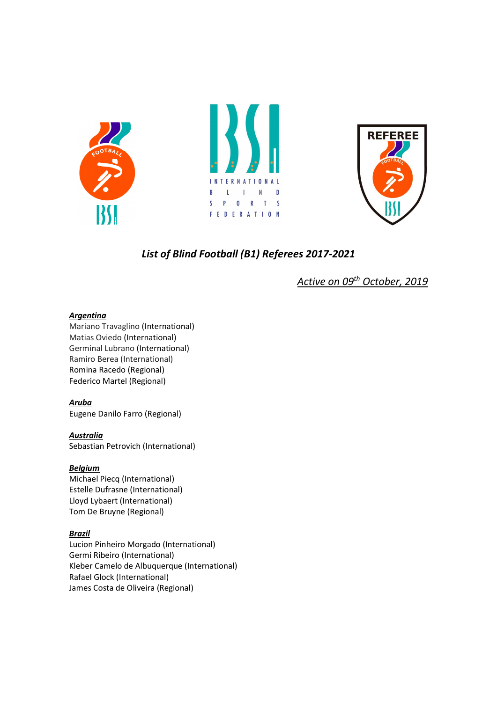





# List of Blind Football (B1) Referees 2017-2021

Active on 09<sup>th</sup> October, 2019

### **Argenting**

Mariano Travaglino (International) Matias Oviedo (International) Germinal Lubrano (International) Ramiro Berea (International) Romina Racedo (Regional) Federico Martel (Regional)

### Aruba

Eugene Danilo Farro (Regional)

### Australia

Sebastian Petrovich (International)

### Belgium

Michael Piecq (International) Estelle Dufrasne (International) Lloyd Lybaert (International) Tom De Bruyne (Regional)

### Brazil

Lucion Pinheiro Morgado (International) Germi Ribeiro (International) Kleber Camelo de Albuquerque (International) Rafael Glock (International) James Costa de Oliveira (Regional)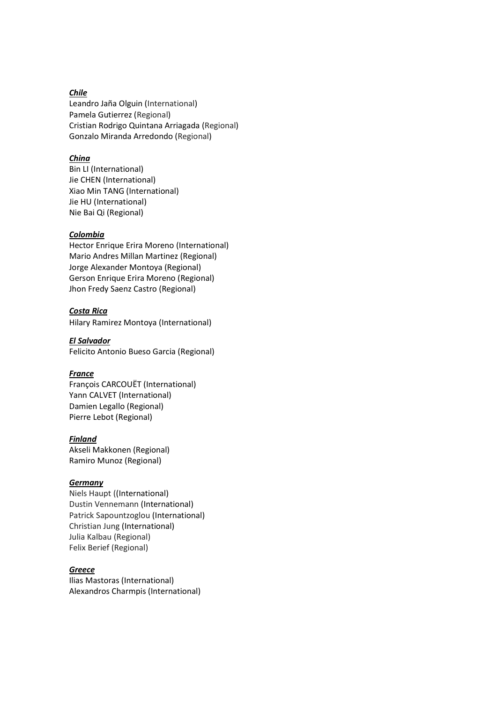### Chile

Leandro Jaña Olguin (International) Pamela Gutierrez (Regional) Cristian Rodrigo Quintana Arriagada (Regional) Gonzalo Miranda Arredondo (Regional)

### **China**

Bin LI (International) Jie CHEN (International) Xiao Min TANG (International) Jie HU (International) Nie Bai Qi (Regional)

#### Colombia

Hector Enrique Erira Moreno (International) Mario Andres Millan Martinez (Regional) Jorge Alexander Montoya (Regional) Gerson Enrique Erira Moreno (Regional) Jhon Fredy Saenz Castro (Regional)

### Costa Rica

Hilary Ramirez Montoya (International)

El Salvador Felicito Antonio Bueso Garcia (Regional)

### France

François CARCOUËT (International) Yann CALVET (International) Damien Legallo (Regional) Pierre Lebot (Regional)

### Finland

Akseli Makkonen (Regional) Ramiro Munoz (Regional)

#### **Germany**

Niels Haupt ((International) Dustin Vennemann (International) Patrick Sapountzoglou (International) Christian Jung (International) Julia Kalbau (Regional) Felix Berief (Regional)

#### Greece

Ilias Mastoras (International) Alexandros Charmpis (International)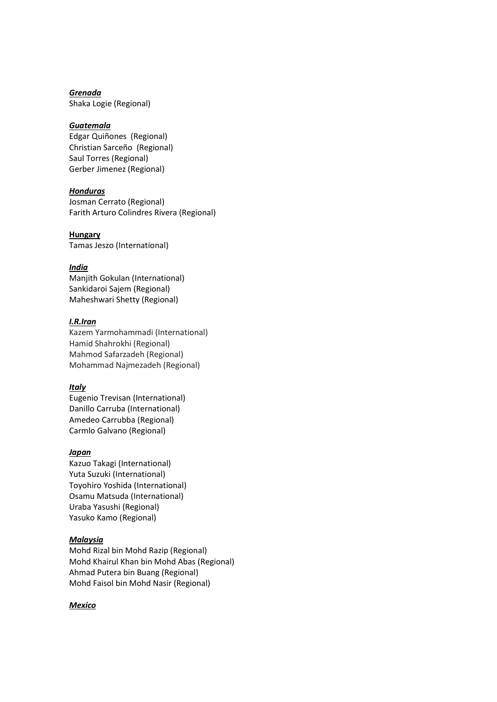Grenada Shaka Logie (Regional)

#### **Guatemala**

Edgar Quiñones (Regional) Christian Sarceño (Regional) Saul Torres (Regional) Gerber Jimenez (Regional)

#### **Honduras**

Josman Cerrato (Regional) Farith Arturo Colindres Rivera (Regional)

**Hungary** Tamas Jeszo (International)

#### India

Manjith Gokulan (International) Sankidaroi Sajem (Regional) Maheshwari Shetty (Regional)

#### I.R.Iran

Kazem Yarmohammadi (International) Hamid Shahrokhi (Regional) Mahmod Safarzadeh (Regional) Mohammad Najmezadeh (Regional)

#### **Italy**

Eugenio Trevisan (International) Danillo Carruba (International) Amedeo Carrubba (Regional) Carmlo Galvano (Regional)

#### Japan

Kazuo Takagi (International) Yuta Suzuki (International) Toyohiro Yoshida (International) Osamu Matsuda (International) Uraba Yasushi (Regional) Yasuko Kamo (Regional)

#### Malaysia

Mohd Rizal bin Mohd Razip (Regional) Mohd Khairul Khan bin Mohd Abas (Regional) Ahmad Putera bin Buang (Regional) Mohd Faisol bin Mohd Nasir (Regional)

#### **Mexico**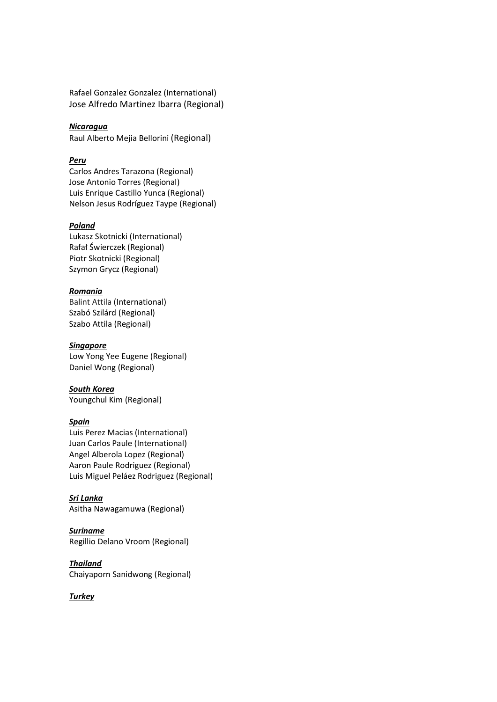Rafael Gonzalez Gonzalez (International) Jose Alfredo Martinez Ibarra (Regional)

### Nicaragua

Raul Alberto Mejia Bellorini (Regional)

### Peru

Carlos Andres Tarazona (Regional) Jose Antonio Torres (Regional) Luis Enrique Castillo Yunca (Regional) Nelson Jesus Rodríguez Taype (Regional)

#### Poland

Lukasz Skotnicki (International) Rafał Świerczek (Regional) Piotr Skotnicki (Regional) Szymon Grycz (Regional)

### Romania

Balint Attila (International) Szabó Szilárd (Regional) Szabo Attila (Regional)

### Singapore

Low Yong Yee Eugene (Regional) Daniel Wong (Regional)

South Korea Youngchul Kim (Regional)

### Spain

Luis Perez Macias (International) Juan Carlos Paule (International) Angel Alberola Lopez (Regional) Aaron Paule Rodriguez (Regional) Luis Miguel Peláez Rodriguez (Regional)

Sri Lanka Asitha Nawagamuwa (Regional)

Suriname Regillio Delano Vroom (Regional)

Thailand Chaiyaporn Sanidwong (Regional)

**Turkey**